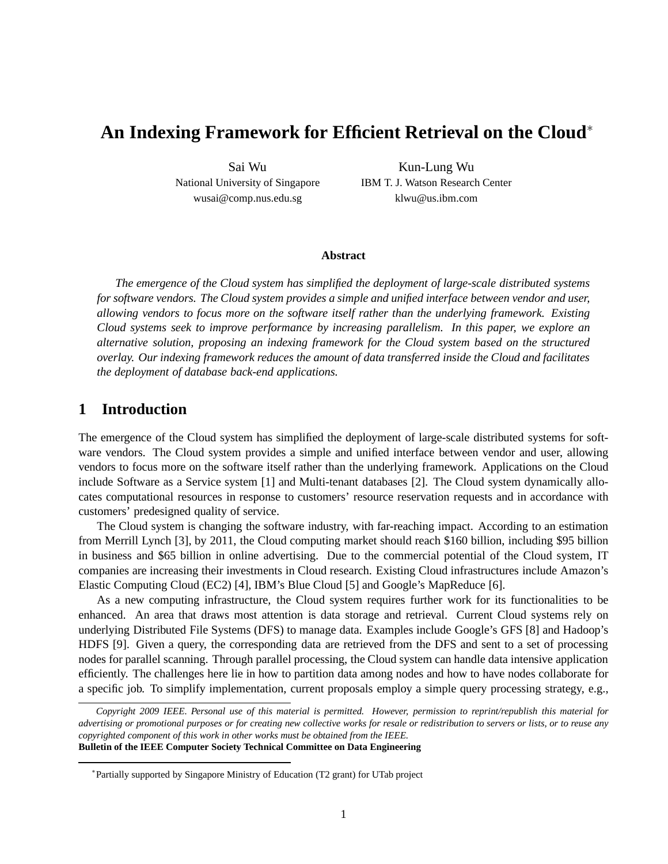# **An Indexing Framework for Efficient Retrieval on the Cloud**<sup>∗</sup>

Sai Wu National University of Singapore wusai@comp.nus.edu.sg

Kun-Lung Wu IBM T. J. Watson Research Center klwu@us.ibm.com

#### **Abstract**

*The emergence of the Cloud system has simplified the deployment of large-scale distributed systems for software vendors. The Cloud system provides a simple and unified interface between vendor and user, allowing vendors to focus more on the software itself rather than the underlying framework. Existing Cloud systems seek to improve performance by increasing parallelism. In this paper, we explore an alternative solution, proposing an indexing framework for the Cloud system based on the structured overlay. Our indexing framework reduces the amount of data transferred inside the Cloud and facilitates the deployment of database back-end applications.*

## **1 Introduction**

The emergence of the Cloud system has simplified the deployment of large-scale distributed systems for software vendors. The Cloud system provides a simple and unified interface between vendor and user, allowing vendors to focus more on the software itself rather than the underlying framework. Applications on the Cloud include Software as a Service system [1] and Multi-tenant databases [2]. The Cloud system dynamically allocates computational resources in response to customers' resource reservation requests and in accordance with customers' predesigned quality of service.

The Cloud system is changing the software industry, with far-reaching impact. According to an estimation from Merrill Lynch [3], by 2011, the Cloud computing market should reach \$160 billion, including \$95 billion in business and \$65 billion in online advertising. Due to the commercial potential of the Cloud system, IT companies are increasing their investments in Cloud research. Existing Cloud infrastructures include Amazon's Elastic Computing Cloud (EC2) [4], IBM's Blue Cloud [5] and Google's MapReduce [6].

As a new computing infrastructure, the Cloud system requires further work for its functionalities to be enhanced. An area that draws most attention is data storage and retrieval. Current Cloud systems rely on underlying Distributed File Systems (DFS) to manage data. Examples include Google's GFS [8] and Hadoop's HDFS [9]. Given a query, the corresponding data are retrieved from the DFS and sent to a set of processing nodes for parallel scanning. Through parallel processing, the Cloud system can handle data intensive application efficiently. The challenges here lie in how to partition data among nodes and how to have nodes collaborate for a specific job. To simplify implementation, current proposals employ a simple query processing strategy, e.g.,

*Copyright 2009 IEEE. Personal use of this material is permitted. However, permission to reprint/republish this material for advertising or promotional purposes or for creating new collective works for resale or redistribution to servers or lists, or to reuse any copyrighted component of this work in other works must be obtained from the IEEE.* **Bulletin of the IEEE Computer Society Technical Committee on Data Engineering**

<sup>∗</sup> Partially supported by Singapore Ministry of Education (T2 grant) for UTab project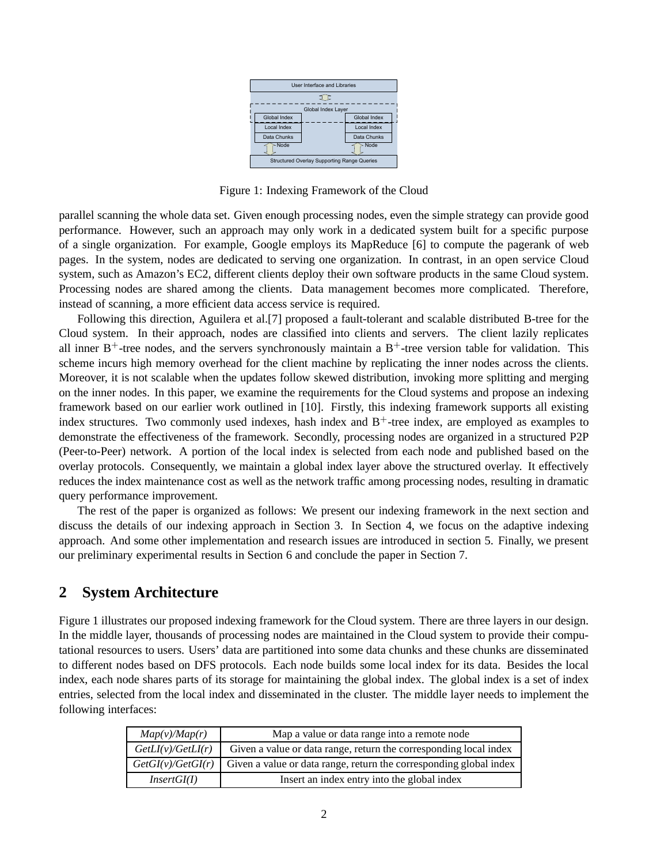

Figure 1: Indexing Framework of the Cloud

parallel scanning the whole data set. Given enough processing nodes, even the simple strategy can provide good performance. However, such an approach may only work in a dedicated system built for a specific purpose of a single organization. For example, Google employs its MapReduce [6] to compute the pagerank of web pages. In the system, nodes are dedicated to serving one organization. In contrast, in an open service Cloud system, such as Amazon's EC2, different clients deploy their own software products in the same Cloud system. Processing nodes are shared among the clients. Data management becomes more complicated. Therefore, instead of scanning, a more efficient data access service is required.

Following this direction, Aguilera et al.[7] proposed a fault-tolerant and scalable distributed B-tree for the Cloud system. In their approach, nodes are classified into clients and servers. The client lazily replicates all inner  $B^+$ -tree nodes, and the servers synchronously maintain a  $B^+$ -tree version table for validation. This scheme incurs high memory overhead for the client machine by replicating the inner nodes across the clients. Moreover, it is not scalable when the updates follow skewed distribution, invoking more splitting and merging on the inner nodes. In this paper, we examine the requirements for the Cloud systems and propose an indexing framework based on our earlier work outlined in [10]. Firstly, this indexing framework supports all existing index structures. Two commonly used indexes, hash index and  $B<sup>+</sup>$ -tree index, are employed as examples to demonstrate the effectiveness of the framework. Secondly, processing nodes are organized in a structured P2P (Peer-to-Peer) network. A portion of the local index is selected from each node and published based on the overlay protocols. Consequently, we maintain a global index layer above the structured overlay. It effectively reduces the index maintenance cost as well as the network traffic among processing nodes, resulting in dramatic query performance improvement.

The rest of the paper is organized as follows: We present our indexing framework in the next section and discuss the details of our indexing approach in Section 3. In Section 4, we focus on the adaptive indexing approach. And some other implementation and research issues are introduced in section 5. Finally, we present our preliminary experimental results in Section 6 and conclude the paper in Section 7.

# **2 System Architecture**

Figure 1 illustrates our proposed indexing framework for the Cloud system. There are three layers in our design. In the middle layer, thousands of processing nodes are maintained in the Cloud system to provide their computational resources to users. Users' data are partitioned into some data chunks and these chunks are disseminated to different nodes based on DFS protocols. Each node builds some local index for its data. Besides the local index, each node shares parts of its storage for maintaining the global index. The global index is a set of index entries, selected from the local index and disseminated in the cluster. The middle layer needs to implement the following interfaces:

| Map(v)/Map(r)     | Map a value or data range into a remote node                       |
|-------------------|--------------------------------------------------------------------|
| GetLI(v)/GetLI(r) | Given a value or data range, return the corresponding local index  |
| GetGI(v)/GetGI(r) | Given a value or data range, return the corresponding global index |
| InsertGI(I)       | Insert an index entry into the global index                        |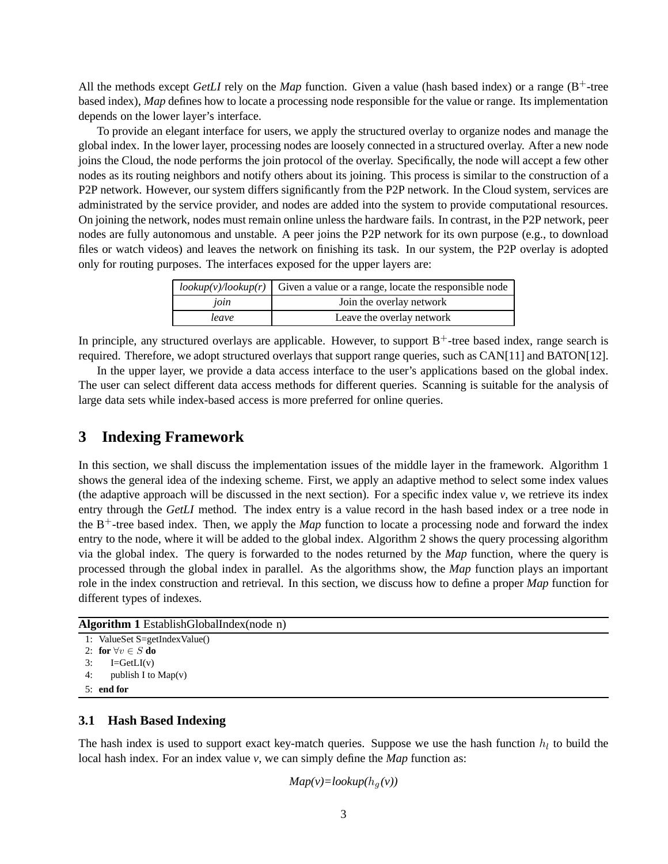All the methods except *GetLI* rely on the *Map* function. Given a value (hash based index) or a range ( $B^+$ -tree based index), *Map* defines how to locate a processing node responsible for the value or range. Its implementation depends on the lower layer's interface.

To provide an elegant interface for users, we apply the structured overlay to organize nodes and manage the global index. In the lower layer, processing nodes are loosely connected in a structured overlay. After a new node joins the Cloud, the node performs the join protocol of the overlay. Specifically, the node will accept a few other nodes as its routing neighbors and notify others about its joining. This process is similar to the construction of a P2P network. However, our system differs significantly from the P2P network. In the Cloud system, services are administrated by the service provider, and nodes are added into the system to provide computational resources. On joining the network, nodes must remain online unless the hardware fails. In contrast, in the P2P network, peer nodes are fully autonomous and unstable. A peer joins the P2P network for its own purpose (e.g., to download files or watch videos) and leaves the network on finishing its task. In our system, the P2P overlay is adopted only for routing purposes. The interfaces exposed for the upper layers are:

|       | $\frac{1}{2}$ lookup(v)/lookup(r) Given a value or a range, locate the responsible node |
|-------|-----------------------------------------------------------------------------------------|
| join  | Join the overlay network                                                                |
| leave | Leave the overlay network                                                               |

In principle, any structured overlays are applicable. However, to support  $B^+$ -tree based index, range search is required. Therefore, we adopt structured overlays that support range queries, such as CAN[11] and BATON[12].

In the upper layer, we provide a data access interface to the user's applications based on the global index. The user can select different data access methods for different queries. Scanning is suitable for the analysis of large data sets while index-based access is more preferred for online queries.

# **3 Indexing Framework**

In this section, we shall discuss the implementation issues of the middle layer in the framework. Algorithm 1 shows the general idea of the indexing scheme. First, we apply an adaptive method to select some index values (the adaptive approach will be discussed in the next section). For a specific index value  $\nu$ , we retrieve its index entry through the *GetLI* method. The index entry is a value record in the hash based index or a tree node in the  $B^+$ -tree based index. Then, we apply the *Map* function to locate a processing node and forward the index entry to the node, where it will be added to the global index. Algorithm 2 shows the query processing algorithm via the global index. The query is forwarded to the nodes returned by the *Map* function, where the query is processed through the global index in parallel. As the algorithms show, the *Map* function plays an important role in the index construction and retrieval. In this section, we discuss how to define a proper *Map* function for different types of indexes.

### **Algorithm 1** EstablishGlobalIndex(node n)

```
1: ValueSet S=getIndexValue()
2: for \forall v \in S do
3: I=GetLI(v)
4: publish I to Map(v)
5: end for
```
### **3.1 Hash Based Indexing**

The hash index is used to support exact key-match queries. Suppose we use the hash function  $h_l$  to build the local hash index. For an index value *v*, we can simply define the *Map* function as:

### $Map(v)=lookup(h_a(v))$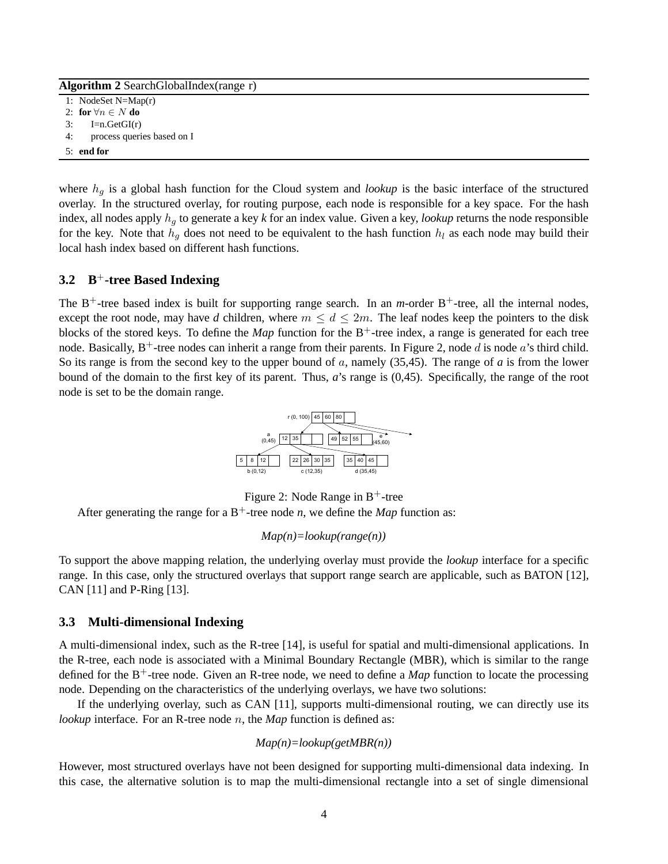| <b>Algorithm 2</b> SearchGlobalIndex(range r) |                             |  |
|-----------------------------------------------|-----------------------------|--|
|                                               | 1: NodeSet $N=Map(r)$       |  |
|                                               | 2: for $\forall n \in N$ do |  |
| 3:                                            | $I=n.GetGI(r)$              |  |
| 4:                                            | process queries based on I  |  |
|                                               | $5:$ end for                |  |

where  $h<sub>g</sub>$  is a global hash function for the Cloud system and *lookup* is the basic interface of the structured overlay. In the structured overlay, for routing purpose, each node is responsible for a key space. For the hash index, all nodes apply  $h_q$  to generate a key  $k$  for an index value. Given a key, *lookup* returns the node responsible for the key. Note that  $h_q$  does not need to be equivalent to the hash function  $h_l$  as each node may build their local hash index based on different hash functions.

### **3.2 B**<sup>+</sup>**-tree Based Indexing**

The  $B^+$ -tree based index is built for supporting range search. In an *m*-order  $B^+$ -tree, all the internal nodes, except the root node, may have *d* children, where  $m \le d \le 2m$ . The leaf nodes keep the pointers to the disk blocks of the stored keys. To define the *Map* function for the  $B^+$ -tree index, a range is generated for each tree node. Basically,  $B^+$ -tree nodes can inherit a range from their parents. In Figure 2, node d is node a's third child. So its range is from the second key to the upper bound of a, namely (35,45). The range of *a* is from the lower bound of the domain to the first key of its parent. Thus, *a*'s range is (0,45). Specifically, the range of the root node is set to be the domain range.



Figure 2: Node Range in  $B^+$ -tree

After generating the range for a  $B^+$ -tree node *n*, we define the *Map* function as:

#### *Map(n)=lookup(range(n))*

To support the above mapping relation, the underlying overlay must provide the *lookup* interface for a specific range. In this case, only the structured overlays that support range search are applicable, such as BATON [12], CAN [11] and P-Ring [13].

#### **3.3 Multi-dimensional Indexing**

A multi-dimensional index, such as the R-tree [14], is useful for spatial and multi-dimensional applications. In the R-tree, each node is associated with a Minimal Boundary Rectangle (MBR), which is similar to the range defined for the  $B^+$ -tree node. Given an R-tree node, we need to define a *Map* function to locate the processing node. Depending on the characteristics of the underlying overlays, we have two solutions:

If the underlying overlay, such as CAN [11], supports multi-dimensional routing, we can directly use its *lookup* interface. For an R-tree node n, the *Map* function is defined as:

$$
Map(n) = lookup(getMBR(n))
$$

However, most structured overlays have not been designed for supporting multi-dimensional data indexing. In this case, the alternative solution is to map the multi-dimensional rectangle into a set of single dimensional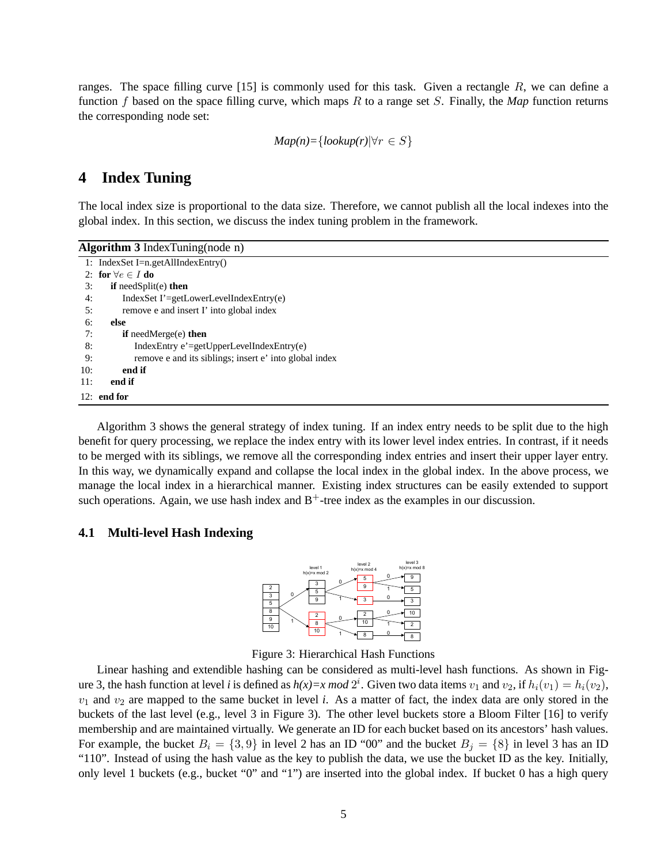ranges. The space filling curve [15] is commonly used for this task. Given a rectangle R, we can define a function f based on the space filling curve, which maps R to a range set S. Finally, the *Map* function returns the corresponding node set:

$$
Map(n) = \{lookup(r) | \forall r \in S\}
$$

# **4 Index Tuning**

The local index size is proportional to the data size. Therefore, we cannot publish all the local indexes into the global index. In this section, we discuss the index tuning problem in the framework.

| Algorithm $3$ Index Tuning (node n) |                                                        |  |
|-------------------------------------|--------------------------------------------------------|--|
|                                     | 1: IndexSet I=n.getAllIndexEntry()                     |  |
|                                     | 2: for $\forall e \in I$ do                            |  |
| 3:                                  | if needSplit(e) then                                   |  |
| 4:                                  | $IndexSet I' = getLowerLevelIndexEntry(e)$             |  |
| 5:                                  | remove e and insert I' into global index               |  |
| 6:                                  | else                                                   |  |
| 7:                                  | <b>if</b> needMerge $(e)$ then                         |  |
| 8:                                  | $IndexEntry$ e'=getUpperLevelIndexEntry(e)             |  |
| 9:                                  | remove e and its siblings; insert e' into global index |  |
| 10:                                 | end if                                                 |  |
| 11:                                 | end if                                                 |  |
|                                     | $12:$ end for                                          |  |

Algorithm 3 shows the general strategy of index tuning. If an index entry needs to be split due to the high benefit for query processing, we replace the index entry with its lower level index entries. In contrast, if it needs to be merged with its siblings, we remove all the corresponding index entries and insert their upper layer entry. In this way, we dynamically expand and collapse the local index in the global index. In the above process, we manage the local index in a hierarchical manner. Existing index structures can be easily extended to support such operations. Again, we use hash index and  $B^+$ -tree index as the examples in our discussion.

#### **4.1 Multi-level Hash Indexing**



Figure 3: Hierarchical Hash Functions

Linear hashing and extendible hashing can be considered as multi-level hash functions. As shown in Figure 3, the hash function at level *i* is defined as  $h(x)=x \mod 2^i$ . Given two data items  $v_1$  and  $v_2$ , if  $h_i(v_1)=h_i(v_2)$ ,  $v_1$  and  $v_2$  are mapped to the same bucket in level *i*. As a matter of fact, the index data are only stored in the buckets of the last level (e.g., level 3 in Figure 3). The other level buckets store a Bloom Filter [16] to verify membership and are maintained virtually. We generate an ID for each bucket based on its ancestors' hash values. For example, the bucket  $B_i = \{3, 9\}$  in level 2 has an ID "00" and the bucket  $B_i = \{8\}$  in level 3 has an ID "110". Instead of using the hash value as the key to publish the data, we use the bucket ID as the key. Initially, only level 1 buckets (e.g., bucket "0" and "1") are inserted into the global index. If bucket 0 has a high query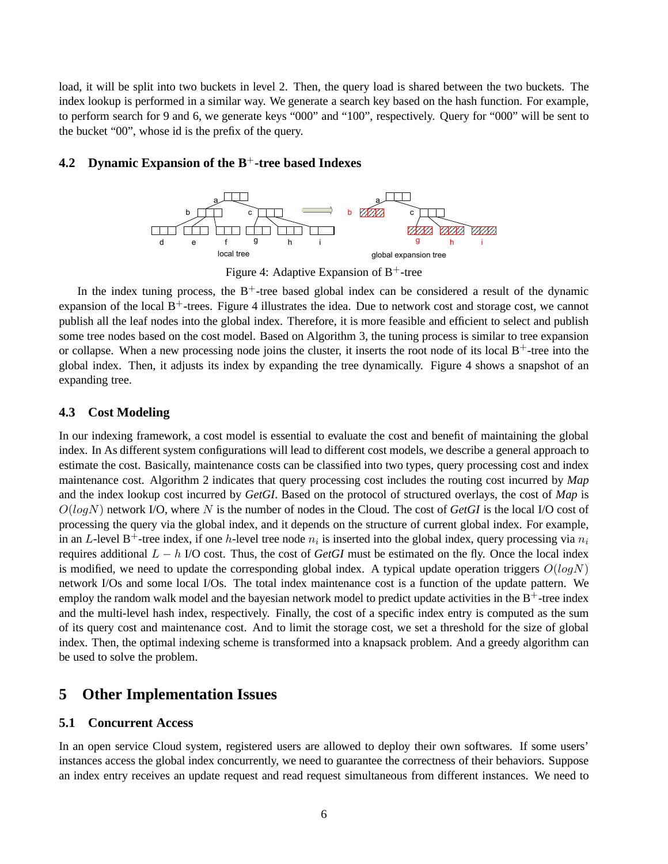load, it will be split into two buckets in level 2. Then, the query load is shared between the two buckets. The index lookup is performed in a similar way. We generate a search key based on the hash function. For example, to perform search for 9 and 6, we generate keys "000" and "100", respectively. Query for "000" will be sent to the bucket "00", whose id is the prefix of the query.

### **4.2 Dynamic Expansion of the B**<sup>+</sup>**-tree based Indexes**



Figure 4: Adaptive Expansion of  $B^+$ -tree

In the index tuning process, the  $B<sup>+</sup>$ -tree based global index can be considered a result of the dynamic expansion of the local  $B^+$ -trees. Figure 4 illustrates the idea. Due to network cost and storage cost, we cannot publish all the leaf nodes into the global index. Therefore, it is more feasible and efficient to select and publish some tree nodes based on the cost model. Based on Algorithm 3, the tuning process is similar to tree expansion or collapse. When a new processing node joins the cluster, it inserts the root node of its local  $B^+$ -tree into the global index. Then, it adjusts its index by expanding the tree dynamically. Figure 4 shows a snapshot of an expanding tree.

#### **4.3 Cost Modeling**

In our indexing framework, a cost model is essential to evaluate the cost and benefit of maintaining the global index. In As different system configurations will lead to different cost models, we describe a general approach to estimate the cost. Basically, maintenance costs can be classified into two types, query processing cost and index maintenance cost. Algorithm 2 indicates that query processing cost includes the routing cost incurred by *Map* and the index lookup cost incurred by *GetGI*. Based on the protocol of structured overlays, the cost of *Map* is  $O(logN)$  network I/O, where N is the number of nodes in the Cloud. The cost of  $GetGI$  is the local I/O cost of processing the query via the global index, and it depends on the structure of current global index. For example, in an L-level B<sup>+</sup>-tree index, if one h-level tree node  $n_i$  is inserted into the global index, query processing via  $n_i$ requires additional L − h I/O cost. Thus, the cost of *GetGI* must be estimated on the fly. Once the local index is modified, we need to update the corresponding global index. A typical update operation triggers  $O(logN)$ network I/Os and some local I/Os. The total index maintenance cost is a function of the update pattern. We employ the random walk model and the bayesian network model to predict update activities in the  $B^+$ -tree index and the multi-level hash index, respectively. Finally, the cost of a specific index entry is computed as the sum of its query cost and maintenance cost. And to limit the storage cost, we set a threshold for the size of global index. Then, the optimal indexing scheme is transformed into a knapsack problem. And a greedy algorithm can be used to solve the problem.

## **5 Other Implementation Issues**

### **5.1 Concurrent Access**

In an open service Cloud system, registered users are allowed to deploy their own softwares. If some users' instances access the global index concurrently, we need to guarantee the correctness of their behaviors. Suppose an index entry receives an update request and read request simultaneous from different instances. We need to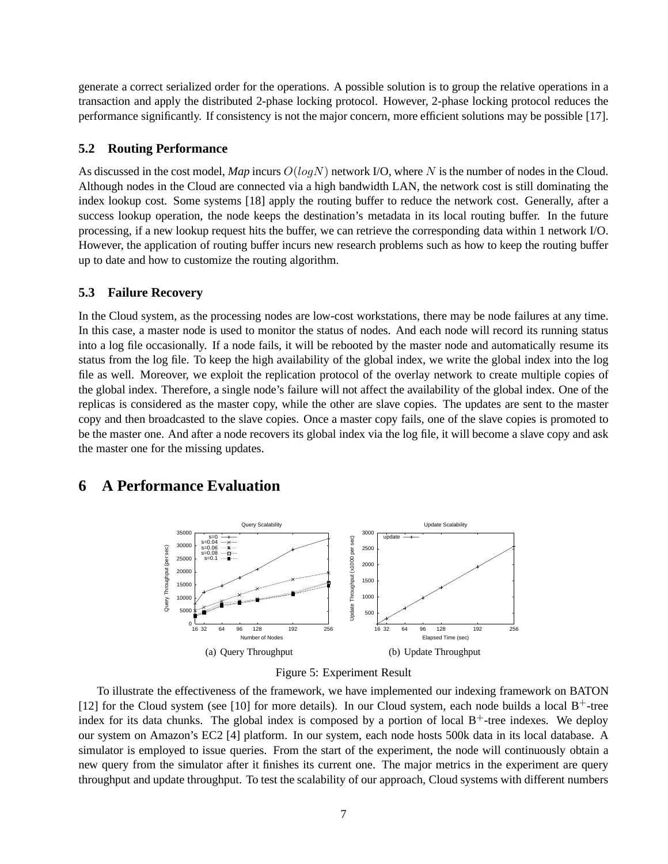generate a correct serialized order for the operations. A possible solution is to group the relative operations in a transaction and apply the distributed 2-phase locking protocol. However, 2-phase locking protocol reduces the performance significantly. If consistency is not the major concern, more efficient solutions may be possible [17].

#### **5.2 Routing Performance**

As discussed in the cost model, *Map* incurs  $O(logN)$  network I/O, where N is the number of nodes in the Cloud. Although nodes in the Cloud are connected via a high bandwidth LAN, the network cost is still dominating the index lookup cost. Some systems [18] apply the routing buffer to reduce the network cost. Generally, after a success lookup operation, the node keeps the destination's metadata in its local routing buffer. In the future processing, if a new lookup request hits the buffer, we can retrieve the corresponding data within 1 network I/O. However, the application of routing buffer incurs new research problems such as how to keep the routing buffer up to date and how to customize the routing algorithm.

#### **5.3 Failure Recovery**

In the Cloud system, as the processing nodes are low-cost workstations, there may be node failures at any time. In this case, a master node is used to monitor the status of nodes. And each node will record its running status into a log file occasionally. If a node fails, it will be rebooted by the master node and automatically resume its status from the log file. To keep the high availability of the global index, we write the global index into the log file as well. Moreover, we exploit the replication protocol of the overlay network to create multiple copies of the global index. Therefore, a single node's failure will not affect the availability of the global index. One of the replicas is considered as the master copy, while the other are slave copies. The updates are sent to the master copy and then broadcasted to the slave copies. Once a master copy fails, one of the slave copies is promoted to be the master one. And after a node recovers its global index via the log file, it will become a slave copy and ask the master one for the missing updates.

# **6 A Performance Evaluation**





To illustrate the effectiveness of the framework, we have implemented our indexing framework on BATON [12] for the Cloud system (see [10] for more details). In our Cloud system, each node builds a local  $B^+$ -tree index for its data chunks. The global index is composed by a portion of local  $B^+$ -tree indexes. We deploy our system on Amazon's EC2 [4] platform. In our system, each node hosts 500k data in its local database. A simulator is employed to issue queries. From the start of the experiment, the node will continuously obtain a new query from the simulator after it finishes its current one. The major metrics in the experiment are query throughput and update throughput. To test the scalability of our approach, Cloud systems with different numbers